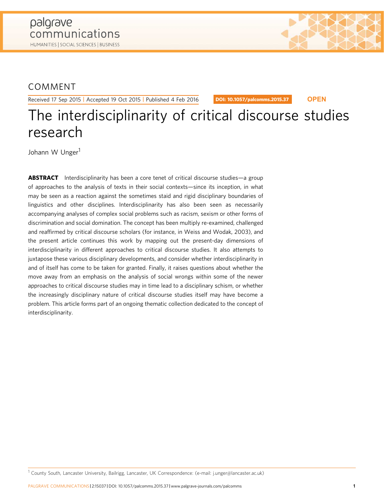# COMMENT

Received 17 Sep 2015 | Accepted 19 Oct 2015 | Published 4 Feb 2016

DOI: [10.1057/palcomms.2015.37](http://dx.doi.org/10.1057/palcomms.2015.37) **OPEN**

# The interdisciplinarity of critical discourse studies research

Johann W Unger<sup>1</sup>

ABSTRACT Interdisciplinarity has been a core tenet of critical discourse studies—a group of approaches to the analysis of texts in their social contexts—since its inception, in what may be seen as a reaction against the sometimes staid and rigid disciplinary boundaries of linguistics and other disciplines. Interdisciplinarity has also been seen as necessarily accompanying analyses of complex social problems such as racism, sexism or other forms of discrimination and social domination. The concept has been multiply re-examined, challenged and reaffirmed by critical discourse scholars (for instance, in Weiss and Wodak, 2003), and the present article continues this work by mapping out the present-day dimensions of interdisciplinarity in different approaches to critical discourse studies. It also attempts to juxtapose these various disciplinary developments, and consider whether interdisciplinarity in and of itself has come to be taken for granted. Finally, it raises questions about whether the move away from an emphasis on the analysis of social wrongs within some of the newer approaches to critical discourse studies may in time lead to a disciplinary schism, or whether the increasingly disciplinary nature of critical discourse studies itself may have become a problem. This article forms part of an ongoing thematic collection dedicated to the concept of interdisciplinarity.

<sup>1</sup> County South, Lancaster University, Bailrigg, Lancaster, UK Correspondence: (e-mail: [j.unger@lancaster.ac.uk\)](mailto:j.unger@lancaster.ac.uk)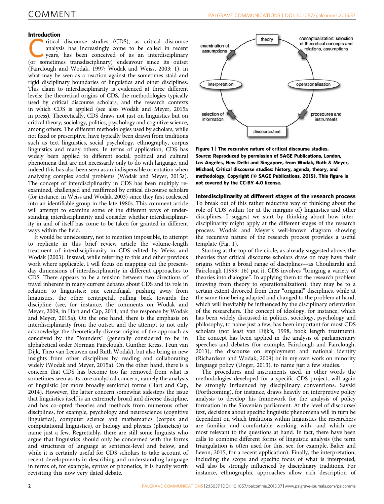# Introduction

Titical discourse studies (CDS), as critical discourse<br>analysis has increasingly come to be called in recent<br>years, has been conceived of as an interdisciplinary<br>(or enabled in the studies) analysis has increasingly come to be called in recent (or sometimes transdisciplinary) endeavour since its outset ([Fairclough and Wodak, 1997](#page-3-0); [Wodak and Weiss, 2003](#page-3-0): 1), in what may be seen as a reaction against the sometimes staid and rigid disciplinary boundaries of linguistics and other disciplines. This claim to interdisciplinarity is evidenced at three different levels: the theoretical origins of CDS, the methodologies typically used by critical discourse scholars, and the research contexts in which CDS is applied (see also [Wodak and Meyer, 2015a](#page-3-0) in press). Theoretically, CDS draws not just on linguistics but on critical theory, sociology, politics, psychology and cognitive science, among others. The different methodologies used by scholars, while not fixed or prescriptive, have typically been drawn from traditions such as text linguistics, social psychology, ethnography, corpus linguistics and many others. In terms of application, CDS has widely been applied to different social, political and cultural phenomena that are not necessarily only to do with language, and indeed this has also been seen as an indispensible orientation when analysing complex social problems [\(Wodak and Meyer, 2015a](#page-3-0)). The concept of interdisciplinarity in CDS has been multiply reexamined, challenged and reaffirmed by critical discourse scholars (for instance, in [Weiss and Wodak, 2003](#page-3-0)) since they first coalesced into an identifiable group in the late 1980s. This comment article will attempt to examine some of the different ways of understanding interdisciplinarity and consider whether interdisciplinarity in and of itself has come to be taken for granted in different ways within the field.

It would be unnecessary, not to mention impossible, to attempt to replicate in this brief review article the volume-length treatment of interdisciplinarity in CDS edited by [Weiss and](#page-3-0) [Wodak \(2003\)](#page-3-0). Instead, while referring to this and other previous work where applicable, I will focus on mapping out the presentday dimensions of interdisciplinarity in different approaches to CDS. There appears to be a tension between two directions of travel inherent in many current debates about CDS and its role in relation to linguistics: one centrifugal, pushing away from linguistics, the other centripetal, pulling back towards the discipline (see, for instance, the comments on [Wodak and](#page-3-0) [Meyer, 2009](#page-3-0), in [Hart and Cap, 2014,](#page-3-0) and the response by [Wodak](#page-3-0) [and Meyer, 2015a](#page-3-0)). On the one hand, there is the emphasis on interdisciplinarity from the outset, and the attempt to not only acknowledge the theoretically diverse origins of the approach as conceived by the "founders" (generally considered to be in alphabetical order Norman Fairclough, Gunther Kress, Teun van Dijk, Theo van Leeuwen and Ruth Wodak), but also bring in new insights from other disciplines by reading and collaborating widely [\(Wodak and Meyer, 2015a\)](#page-3-0). On the other hand, there is a concern that CDS has become too far removed from what is sometimes seen as its core analytical concern, namely the analysis of linguistic (or more broadly semiotic) forms [\(Hart and Cap,](#page-3-0) [2014\)](#page-3-0). However, the latter concern somewhat sidesteps the issue that linguistics itself is an extremely broad and diverse discipline, and has co-opted theories and methods from numerous other disciplines, for example, psychology and neuroscience (cognitive linguistics), computer science and mathematics (corpus and computational linguistics), or biology and physics (phonetics) to name just a few. Regrettably, there are still some linguists who argue that linguistics should only be concerned with the forms and structures of language at sentence-level and below, and while it is certainly useful for CDS scholars to take account of recent developments in describing and understanding language in terms of, for example, syntax or phonetics, it is hardly worth revisiting this now very dated debate.



Figure 1 | The recursive nature of critical discourse studies. Source: Reproduced by permission of SAGE Publications, London, Los Angeles, New Delhi and Singapore, from Wodak, Ruth & Meyer, Michael, Critical discourse studies: history, agenda, theory, and methodology, Copyright (© SAGE Publications, 2015). This figure is not covered by the CC-BY 4.0 license.

# Interdisciplinarity at different stages of the research process

To break out of this rather reductive way of thinking about the role of CDS within (or at the margins of) linguistics and other disciplines, I suggest we start by thinking about how interdisciplinarity might apply at the different stages of the research process. Wodak and Meyer's well-known diagram showing the recursive nature of the research process provides a useful template (Fig. 1).

Starting at the top of the circle, as already suggested above, the theories that critical discourse scholars draw on may have their origins within a broad range of disciplines—as [Chouliaraki and](#page-3-0) [Fairclough \(1999](#page-3-0): 16) put it, CDS involves "bringing a variety of theories into dialogue". In applying them to the research problem (moving from theory to operationalization), they may be to a certain extent divorced from their "original" disciplines, while at the same time being adapted and changed to the problem at hand, which will inevitably be influenced by the disciplinary orientation of the researchers. The concept of ideology, for instance, which has been widely discussed in politics, sociology, psychology and philosophy, to name just a few, has been important for most CDS scholars (not least [van Dijk](#page-3-0)'s, 1998, book length treatment). The concept has been applied in the analysis of parliamentary speeches and debates (for example, [Fairclough and Fairclough,](#page-3-0) [2013\)](#page-3-0), the discourse on employment and national identity ([Richardson and Wodak, 2009\)](#page-3-0) or in my own work on minority language policy [\(Unger, 2013](#page-3-0)), to name just a few studies.

The procedures and instruments used, in other words the methodologies developed for a specific CDS project, will again be strongly influenced by disciplinary conventions. Savski (Forthcoming), for instance, draws heavily on interpretive policy analysis to develop his framework for the analysis of policy formation in the Slovenian parliament. At the level of discourse/ text, decisions about specific linguistic phenomena will in turn be dependent on which traditions within linguistics the researchers are familiar and comfortable working with, and which are most relevant to the questions at hand. In fact, there have been calls to combine different forms of linguistic analysis (the term triangulation is often used for this, see, for example, [Baker and](#page-3-0) [Levon, 2015,](#page-3-0) for a recent application). Finally, the interpretation, including the scope and specific focus of what is interpreted, will also be strongly influenced by disciplinary traditions. For instance, ethnographic approaches allow rich description of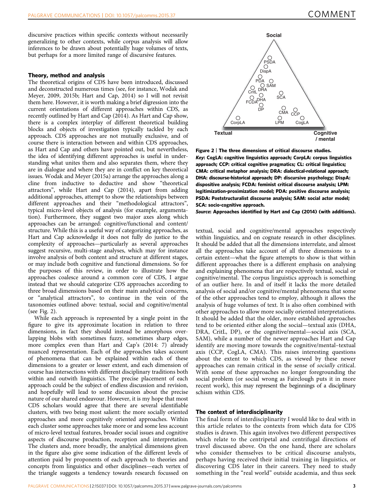discursive practices within specific contexts without necessarily generalizing to other contexts, while corpus analysis will allow inferences to be drawn about potentially huge volumes of texts, but perhaps for a more limited range of discursive features.

# Theory, method and analysis

The theoretical origins of CDS have been introduced, discussed and deconstructed numerous times (see, for instance, [Wodak and](#page-3-0) [Meyer, 2009](#page-3-0), 2015b; [Hart and Cap, 2014](#page-3-0)) so I will not revisit them here. However, it is worth making a brief digression into the current orientations of different approaches within CDS, as recently outlined by [Hart and Cap \(2014\)](#page-3-0). As Hart and Cap show, there is a complex interplay of different theoretical building blocks and objects of investigation typically tackled by each approach. CDS approaches are not mutually exclusive, and of course there is interaction between and within CDS approaches, as Hart and Cap and others have pointed out, but nevertheless, the idea of identifying different approaches is useful in understanding what unites them and also separates them, where they are in dialogue and where they are in conflict on key theoretical issues. Wodak and Meyer [\(2015a](#page-3-0)) arrange the approaches along a cline from inductive to deductive and show "theoretical attractors", while [Hart and Cap \(2014\)](#page-3-0), apart from adding additional approaches, attempt to show the relationships between different approaches and their "methodological attractors", typical micro-level objects of analysis (for example, argumentation). Furthermore, they suggest two major axes along which approaches can be arranged: cognitive/functional and content/ structure. While this is a useful way of categorizing approaches, as Hart and Cap acknowledge it does not fully do justice to the complexity of approaches—particularly as several approaches suggest recursive, multi-stage analyses, which may for instance involve analysis of both content and structure at different stages, or may include both cognitive and functional dimensions. So for the purposes of this review, in order to illustrate how the approaches coalesce around a common core of CDS, I argue instead that we should categorize CDS approaches according to three broad dimensions based on their main analytical concerns, or "analytical attractors", to continue in the vein of the taxonomies outlined above: textual, social and cognitive/mental (see Fig. 2).

While each approach is represented by a single point in the figure to give its approximate location in relation to three dimensions, in fact they should instead be amorphous overlapping blobs with sometimes fuzzy, sometimes sharp edges, more complex even than [Hart and Cap](#page-3-0)'s (2014: 7) already nuanced representation. Each of the approaches takes account of phenomena that can be explained within each of these dimensions to a greater or lesser extent, and each dimension of course has intersections with different disciplinary traditions both within and outwith linguistics. The precise placement of each approach could be the subject of endless discussion and revision, and hopefully will lead to some discussion about the precise nature of our shared endeavour. However, it is my hope that most CDS scholars would agree that there are several identifiable clusters, with two being most salient: the more socially oriented approaches and more cognitively oriented approaches. Within each cluster some approaches take more or and some less account of micro-level textual features, broader social issues and cognitive aspects of discourse production, reception and interpretation. The clusters and, more broadly, the analytical dimensions given in the figure also give some indication of the different levels of attention paid by proponents of each approach to theories and concepts from linguistics and other disciplines—each vertex of the triangle suggests a tendency towards research focussed on



Figure 2 | The three dimensions of critical discourse studies. Key: CogLA: cognitive linguistics approach; CorpLA: corpus linguistics approach; CCP: critical cognitive pragmatics; CL: critical linguistics; CMA: critical metaphor analysis; DRA: dialectical-relational approach; DHA: discourse-historical approach; DP: discursive psychology; DispA: dispositive analysis; FCDA: feminist critical discourse analysis; LPM: legitimization-proximization model; PDA: positive discourse analysis; PSDA: Poststructuralist discourse analysis; SAM: social actor model; SCA: socio-cognitive approach.

Source: Approaches identified by [Hart and Cap \(2014\)](#page-3-0) (with additions).

textual, social and cognitive/mental approaches respectively within linguistics, and on cognate research in other disciplines. It should be added that all the dimensions interrelate, and almost all the approaches take account of all three dimensions to a certain extent—what the figure attempts to show is that within different approaches there is a different emphasis on analysing and explaining phenomena that are respectively textual, social or cognitive/mental. The corpus linguistics approach is something of an outlier here. In and of itself it lacks the more detailed analysis of social and/or cognitive/mental phenomena that some of the other approaches tend to employ, although it allows the analysis of huge volumes of text. It is also often combined with other approaches to allow more socially oriented interpretations. It should be added that the older, more established approaches tend to be oriented either along the social—textual axis (DHA, DRA, CritL, DP), or the cognitive/mental—social axis (SCA, SAM), while a number of the newer approaches Hart and Cap identify are moving more towards the cognitive/mental–textual axis (CCP, CogLA, CMA). This raises interesting questions about the extent to which CDS, as viewed by these newer approaches can remain critical in the sense of socially critical. With some of these approaches no longer foregrounding the social problem (or social wrong as Fairclough puts it in more recent work), this may represent the beginnings of a disciplinary schism within CDS.

### The context of interdisciplinarity

The final form of interdisciplinarity I would like to deal with in this article relates to the contexts from which data for CDS studies is drawn. This again involves two different perspectives which relate to the centripetal and centrifugal directions of travel discussed above. On the one hand, there are scholars who consider themselves to be critical discourse analysts, perhaps having received their initial training in linguistics, or discovering CDS later in their careers. They need to study something in the "real world" outside academia, and thus seek